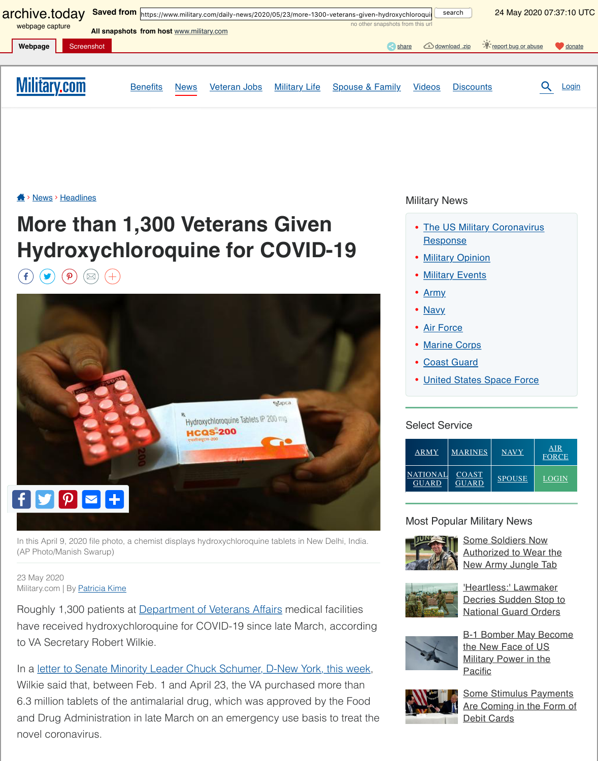

In this April 9, 2020 file photo, a chemist displays hydroxychloroquine tablets in New Delhi, In (AP Photo/Manish Swarup)

[23 M](https://archive.is/o/aOXrt/https://www.military.com/%23facebook)[ay 202](https://archive.is/o/aOXrt/https://www.military.com/%23twitter)[0](https://archive.is/o/aOXrt/https://www.military.com/%23pinterest) Military.com | By Patricia Kime

Roughly 1,300 patients at **Department of Veterans Affairs** medical facilities have received hydroxychloroquine for COVID-19 since late March, accor to VA Secretary Robert Wilkie.

In a letter to Senate Minority Leader Chuck Schumer, D-New York, this we Wilkie said that, between Feb. 1 and April 23, the VA purchased more than 6.3 million tablets of the antimalarial drug, which was approved by the Food and Drug Administration in late March on an emergency use basis to treat novel coronavirus.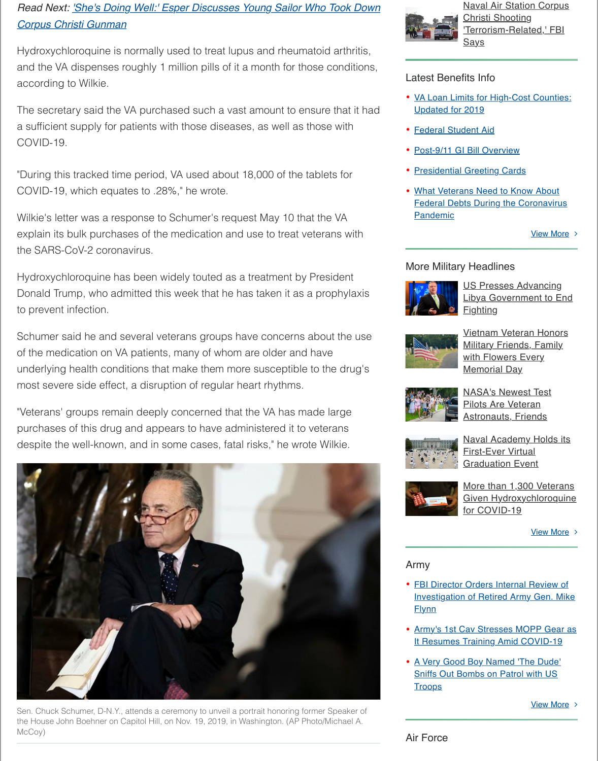[to prevent infection.](https://archive.is/o/aOXrt/https://www.military.com/daily-news/2020/05/22/shes-doing-well-esper-discusses-young-sailor-who-took-down-corpus-christi-gunman.html)

Schumer said he and several veterans groups have concerns about the of the medication on VA patients, many of whom are older and have underlying health conditions that make them more susceptible to the dru most severe side effect, a disruption of regular heart rhythms.

"Veterans' groups remain deeply concerned that the VA has made large purchases of this drug and appears to have administered it to veterans despite the well-known, and in some cases, fatal risks," he wrote Wilkie.



Sen. Chuck Schumer, D-N.Y., attends a ceremony to unveil a portrait honoring former Speake the House John Boehner on Capitol Hill, on Nov. 19, 2019, in Washington. (AP Photo/Michael McCoy)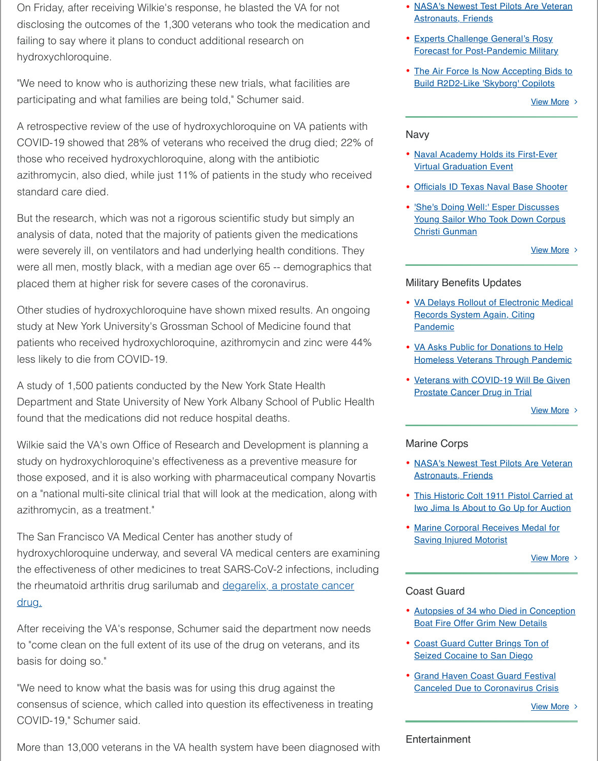Other studies of hydroxychloroquine have shown mixed results. An ongo study at New York University's Grossman School of Medicine found that patients who received hydroxychloroquine, azithromycin and zinc were 4 less likely to die from COVID-19.

A study of 1,500 patients conducted by the New York State Health Department and State University of New York Albany School of Public He found that the medications did not reduce hospital deaths.

Wilkie said the VA's own Office of Research and Development is planning study on hydroxychloroquine's effectiveness as a preventive measure for those exposed, and it is also working with pharmaceutical company Nov on a "national multi-site clinical trial that will look at the medication, along azithromycin, as a treatment."

The San Francisco VA Medical Center has another study of hydroxychloroquine underway, and several VA medical centers are exame the effectiveness of other medicines to treat SARS-CoV-2 infections, inclu the rheumatoid arthritis drug sarilumab and degarelix, a prostate cancer drug.

After receiving the VA's response, Schumer said the department now need to "come clean on the full extent of its use of the drug on veterans, and its basis for doing so."

"We need to know what the basis was for using this drug against the consensus of science, which called into question its effectiveness in treating that COVID-19," Schumer said.

More than 13,000 veterans in the VA health system have been diagnosed